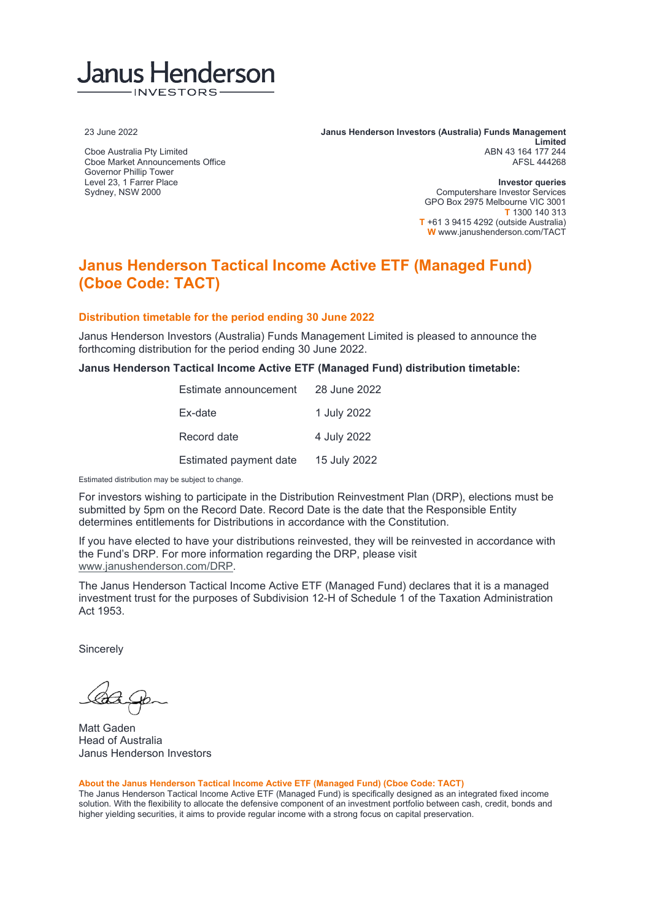## Janus Henderson INVESTORS

23 June 2022

Cboe Australia Pty Limited Cboe Market Announcements Office Governor Phillip Tower Level 23, 1 Farrer Place Sydney, NSW 2000

**Janus Henderson Investors (Australia) Funds Management Limited** ABN 43 164 177 244 AFSL 444268

> **Investor queries** Computershare Investor Services GPO Box 2975 Melbourne VIC 3001 **T** 1300 140 313 **T** +61 3 9415 4292 (outside Australia) **W** www.janushenderson.com/TACT

## **Janus Henderson Tactical Income Active ETF (Managed Fund) (Cboe Code: TACT)**

### **Distribution timetable for the period ending 30 June 2022**

Janus Henderson Investors (Australia) Funds Management Limited is pleased to announce the forthcoming distribution for the period ending 30 June 2022.

**Janus Henderson Tactical Income Active ETF (Managed Fund) distribution timetable:**

| Estimate announcement  | 28 June 2022 |
|------------------------|--------------|
| Ex-date                | 1 July 2022  |
| Record date            | 4 July 2022  |
| Estimated payment date | 15 July 2022 |

Estimated distribution may be subject to change.

For investors wishing to participate in the Distribution Reinvestment Plan (DRP), elections must be submitted by 5pm on the Record Date. Record Date is the date that the Responsible Entity determines entitlements for Distributions in accordance with the Constitution.

If you have elected to have your distributions reinvested, they will be reinvested in accordance with the Fund's DRP. For more information regarding the DRP, please visit [www.janushenderson.com/DRP.](http://www.janushenderson.com/DRP)

The Janus Henderson Tactical Income Active ETF (Managed Fund) declares that it is a managed investment trust for the purposes of Subdivision 12-H of Schedule 1 of the Taxation Administration Act 1953.

**Sincerely** 

Matt Gaden Head of Australia Janus Henderson Investors

#### **About the Janus Henderson Tactical Income Active ETF (Managed Fund) (Cboe Code: TACT)**

The Janus Henderson Tactical Income Active ETF (Managed Fund) is specifically designed as an integrated fixed income solution. With the flexibility to allocate the defensive component of an investment portfolio between cash, credit, bonds and higher yielding securities, it aims to provide regular income with a strong focus on capital preservation.